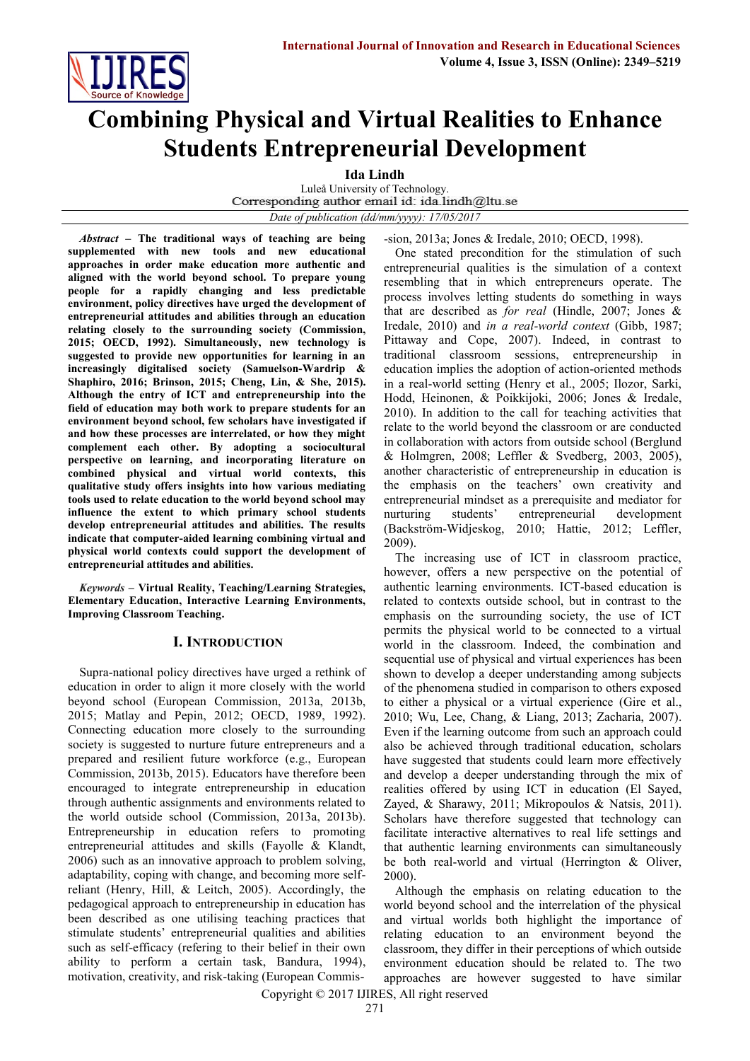

# **Combining Physical and Virtual Realities to Enhance Students Entrepreneurial Development**

**Ida Lindh** 

Luleå University of Technology.<br>Corresponding author email id: ida.lindh@ltu.se *Date of publication (dd/mm/yyyy): 17/05/2017*

*Abstract* **– The traditional ways of teaching are being supplemented with new tools and new educational approaches in order make education more authentic and aligned with the world beyond school. To prepare young people for a rapidly changing and less predictable environment, policy directives have urged the development of entrepreneurial attitudes and abilities through an education relating closely to the surrounding society (Commission, 2015; OECD, 1992). Simultaneously, new technology is suggested to provide new opportunities for learning in an increasingly digitalised society (Samuelson-Wardrip & Shaphiro, 2016; Brinson, 2015; Cheng, Lin, & She, 2015). Although the entry of ICT and entrepreneurship into the field of education may both work to prepare students for an environment beyond school, few scholars have investigated if and how these processes are interrelated, or how they might complement each other. By adopting a sociocultural perspective on learning, and incorporating literature on combined physical and virtual world contexts, this qualitative study offers insights into how various mediating tools used to relate education to the world beyond school may influence the extent to which primary school students develop entrepreneurial attitudes and abilities. The results indicate that computer-aided learning combining virtual and physical world contexts could support the development of entrepreneurial attitudes and abilities.**

*Keywords* **– Virtual Reality, Teaching/Learning Strategies, Elementary Education, Interactive Learning Environments, Improving Classroom Teaching.**

# **I. INTRODUCTION**

Supra-national policy directives have urged a rethink of education in order to align it more closely with the world beyond school (European Commission, 2013a, 2013b, 2015; Matlay and Pepin, 2012; OECD, 1989, 1992). Connecting education more closely to the surrounding society is suggested to nurture future entrepreneurs and a prepared and resilient future workforce (e.g., European Commission, 2013b, 2015). Educators have therefore been encouraged to integrate entrepreneurship in education through authentic assignments and environments related to the world outside school (Commission, 2013a, 2013b). Entrepreneurship in education refers to promoting entrepreneurial attitudes and skills (Fayolle & Klandt, 2006) such as an innovative approach to problem solving, adaptability, coping with change, and becoming more selfreliant (Henry, Hill, & Leitch, 2005). Accordingly, the pedagogical approach to entrepreneurship in education has been described as one utilising teaching practices that stimulate students' entrepreneurial qualities and abilities such as self-efficacy (refering to their belief in their own ability to perform a certain task, Bandura, 1994), motivation, creativity, and risk-taking (European Commis-sion, 2013a; Jones & Iredale, 2010; OECD, 1998).

One stated precondition for the stimulation of such entrepreneurial qualities is the simulation of a context resembling that in which entrepreneurs operate. The process involves letting students do something in ways that are described as *for real* (Hindle, 2007; Jones & Iredale, 2010) and *in a real-world context* (Gibb, 1987; Pittaway and Cope, 2007). Indeed, in contrast to traditional classroom sessions, entrepreneurship in education implies the adoption of action-oriented methods in a real-world setting (Henry et al., 2005; Ilozor, Sarki, Hodd, Heinonen, & Poikkijoki, 2006; Jones & Iredale, 2010). In addition to the call for teaching activities that relate to the world beyond the classroom or are conducted in collaboration with actors from outside school (Berglund & Holmgren, 2008; Leffler & Svedberg, 2003, 2005), another characteristic of entrepreneurship in education is the emphasis on the teachers' own creativity and entrepreneurial mindset as a prerequisite and mediator for nurturing students' entrepreneurial development (Backström-Widjeskog, 2010; Hattie, 2012; Leffler, 2009).

The increasing use of ICT in classroom practice, however, offers a new perspective on the potential of authentic learning environments. ICT-based education is related to contexts outside school, but in contrast to the emphasis on the surrounding society, the use of ICT permits the physical world to be connected to a virtual world in the classroom. Indeed, the combination and sequential use of physical and virtual experiences has been shown to develop a deeper understanding among subjects of the phenomena studied in comparison to others exposed to either a physical or a virtual experience (Gire et al., 2010; Wu, Lee, Chang, & Liang, 2013; Zacharia, 2007). Even if the learning outcome from such an approach could also be achieved through traditional education, scholars have suggested that students could learn more effectively and develop a deeper understanding through the mix of realities offered by using ICT in education (El Sayed, Zayed, & Sharawy, 2011; Mikropoulos & Natsis, 2011). Scholars have therefore suggested that technology can facilitate interactive alternatives to real life settings and that authentic learning environments can simultaneously be both real-world and virtual (Herrington & Oliver, 2000).

Although the emphasis on relating education to the world beyond school and the interrelation of the physical and virtual worlds both highlight the importance of relating education to an environment beyond the classroom, they differ in their perceptions of which outside environment education should be related to. The two approaches are however suggested to have similar

Copyright © 2017 IJIRES, All right reserved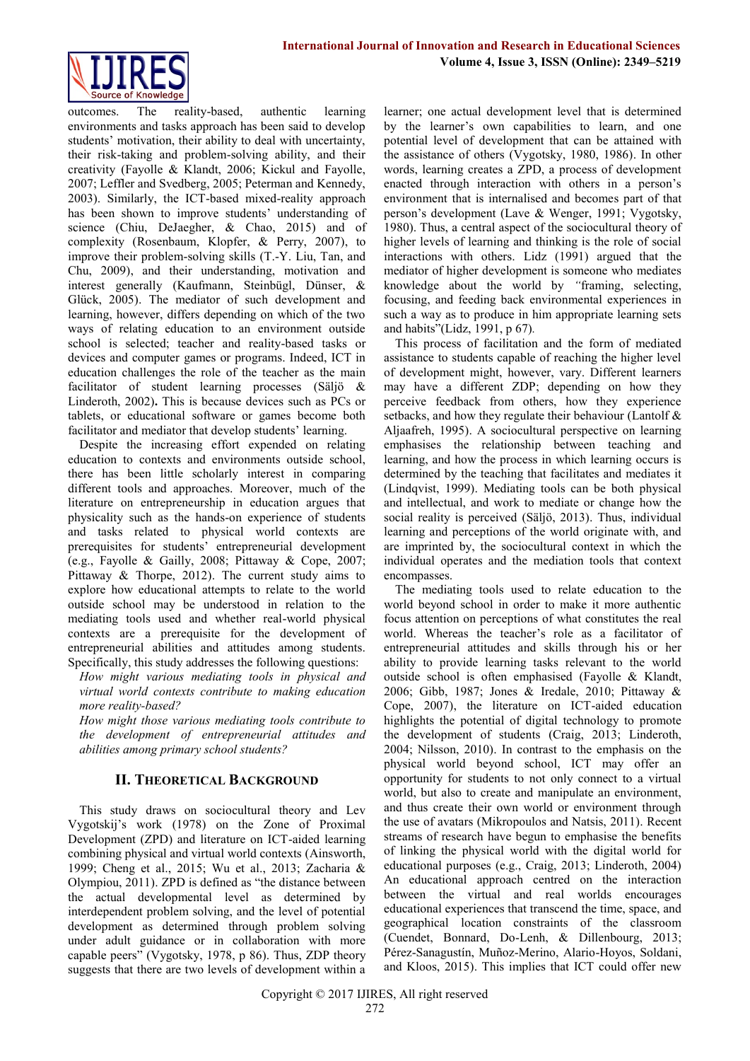

outcomes. The reality-based, authentic learning environments and tasks approach has been said to develop students' motivation, their ability to deal with uncertainty, their risk-taking and problem-solving ability, and their creativity (Fayolle & Klandt, 2006; Kickul and Fayolle, 2007; Leffler and Svedberg, 2005; Peterman and Kennedy, 2003). Similarly, the ICT-based mixed-reality approach has been shown to improve students' understanding of science (Chiu, DeJaegher, & Chao, 2015) and of complexity (Rosenbaum, Klopfer, & Perry, 2007), to improve their problem-solving skills (T.-Y. Liu, Tan, and Chu, 2009), and their understanding, motivation and interest generally (Kaufmann, Steinbügl, Dünser, & Glück, 2005). The mediator of such development and learning, however, differs depending on which of the two ways of relating education to an environment outside school is selected; teacher and reality-based tasks or devices and computer games or programs. Indeed, ICT in education challenges the role of the teacher as the main facilitator of student learning processes (Säljö & Linderoth, 2002)**.** This is because devices such as PCs or tablets, or educational software or games become both facilitator and mediator that develop students' learning.

Despite the increasing effort expended on relating education to contexts and environments outside school, there has been little scholarly interest in comparing different tools and approaches. Moreover, much of the literature on entrepreneurship in education argues that physicality such as the hands-on experience of students and tasks related to physical world contexts are prerequisites for students' entrepreneurial development (e.g., Fayolle & Gailly, 2008; Pittaway & Cope, 2007; Pittaway & Thorpe, 2012). The current study aims to explore how educational attempts to relate to the world outside school may be understood in relation to the mediating tools used and whether real-world physical contexts are a prerequisite for the development of entrepreneurial abilities and attitudes among students. Specifically, this study addresses the following questions:

*How might various mediating tools in physical and virtual world contexts contribute to making education more reality-based?*

*How might those various mediating tools contribute to the development of entrepreneurial attitudes and abilities among primary school students?*

# **II. THEORETICAL BACKGROUND**

This study draws on sociocultural theory and Lev Vygotskij's work (1978) on the Zone of Proximal Development (ZPD) and literature on ICT-aided learning combining physical and virtual world contexts (Ainsworth, 1999; Cheng et al., 2015; Wu et al., 2013; Zacharia & Olympiou, 2011). ZPD is defined as "the distance between the actual developmental level as determined by interdependent problem solving, and the level of potential development as determined through problem solving under adult guidance or in collaboration with more capable peers" (Vygotsky, 1978, p 86). Thus, ZDP theory suggests that there are two levels of development within a

learner; one actual development level that is determined by the learner's own capabilities to learn, and one potential level of development that can be attained with the assistance of others (Vygotsky, 1980, 1986). In other words, learning creates a ZPD, a process of development enacted through interaction with others in a person's environment that is internalised and becomes part of that person's development (Lave & Wenger, 1991; Vygotsky, 1980). Thus, a central aspect of the sociocultural theory of higher levels of learning and thinking is the role of social interactions with others. Lidz (1991) argued that the mediator of higher development is someone who mediates knowledge about the world by *"*framing, selecting, focusing, and feeding back environmental experiences in such a way as to produce in him appropriate learning sets and habits"(Lidz, 1991, p 67)*.*

This process of facilitation and the form of mediated assistance to students capable of reaching the higher level of development might, however, vary. Different learners may have a different ZDP; depending on how they perceive feedback from others, how they experience setbacks, and how they regulate their behaviour (Lantolf & Aljaafreh, 1995). A sociocultural perspective on learning emphasises the relationship between teaching and learning, and how the process in which learning occurs is determined by the teaching that facilitates and mediates it (Lindqvist, 1999). Mediating tools can be both physical and intellectual, and work to mediate or change how the social reality is perceived (Säljö, 2013). Thus, individual learning and perceptions of the world originate with, and are imprinted by, the sociocultural context in which the individual operates and the mediation tools that context encompasses.

The mediating tools used to relate education to the world beyond school in order to make it more authentic focus attention on perceptions of what constitutes the real world. Whereas the teacher's role as a facilitator of entrepreneurial attitudes and skills through his or her ability to provide learning tasks relevant to the world outside school is often emphasised (Fayolle & Klandt, 2006; Gibb, 1987; Jones & Iredale, 2010; Pittaway & Cope, 2007), the literature on ICT-aided education highlights the potential of digital technology to promote the development of students (Craig, 2013; Linderoth, 2004; Nilsson, 2010). In contrast to the emphasis on the physical world beyond school, ICT may offer an opportunity for students to not only connect to a virtual world, but also to create and manipulate an environment, and thus create their own world or environment through the use of avatars (Mikropoulos and Natsis, 2011). Recent streams of research have begun to emphasise the benefits of linking the physical world with the digital world for educational purposes (e.g., Craig, 2013; Linderoth, 2004) An educational approach centred on the interaction between the virtual and real worlds encourages educational experiences that transcend the time, space, and geographical location constraints of the classroom (Cuendet, Bonnard, Do-Lenh, & Dillenbourg, 2013; Pérez-Sanagustín, Muñoz-Merino, Alario-Hoyos, Soldani, and Kloos, 2015). This implies that ICT could offer new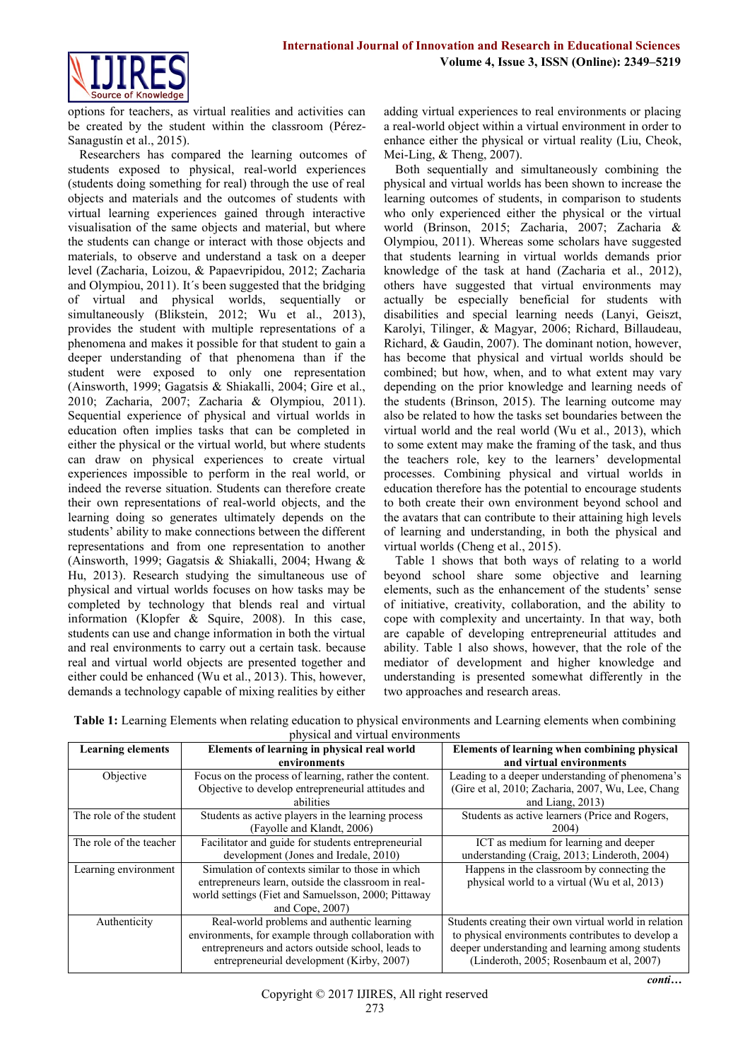

options for teachers, as virtual realities and activities can be created by the student within the classroom (Pérez-Sanagustín et al., 2015).

Researchers has compared the learning outcomes of students exposed to physical, real-world experiences (students doing something for real) through the use of real objects and materials and the outcomes of students with virtual learning experiences gained through interactive visualisation of the same objects and material, but where the students can change or interact with those objects and materials, to observe and understand a task on a deeper level (Zacharia, Loizou, & Papaevripidou, 2012; Zacharia and Olympiou, 2011). It´s been suggested that the bridging of virtual and physical worlds, sequentially or simultaneously (Blikstein, 2012; Wu et al., 2013). provides the student with multiple representations of a phenomena and makes it possible for that student to gain a deeper understanding of that phenomena than if the student were exposed to only one representation (Ainsworth, 1999; Gagatsis & Shiakalli, 2004; Gire et al., 2010; Zacharia, 2007; Zacharia & Olympiou, 2011). Sequential experience of physical and virtual worlds in education often implies tasks that can be completed in either the physical or the virtual world, but where students can draw on physical experiences to create virtual experiences impossible to perform in the real world, or indeed the reverse situation. Students can therefore create their own representations of real-world objects, and the learning doing so generates ultimately depends on the students' ability to make connections between the different representations and from one representation to another (Ainsworth, 1999; Gagatsis & Shiakalli, 2004; Hwang & Hu, 2013). Research studying the simultaneous use of physical and virtual worlds focuses on how tasks may be completed by technology that blends real and virtual information (Klopfer & Squire, 2008). In this case, students can use and change information in both the virtual and real environments to carry out a certain task. because real and virtual world objects are presented together and either could be enhanced (Wu et al., 2013). This, however, demands a technology capable of mixing realities by either

adding virtual experiences to real environments or placing a real-world object within a virtual environment in order to enhance either the physical or virtual reality (Liu, Cheok, Mei-Ling, & Theng, 2007).

Both sequentially and simultaneously combining the physical and virtual worlds has been shown to increase the learning outcomes of students, in comparison to students who only experienced either the physical or the virtual world (Brinson, 2015; Zacharia, 2007; Zacharia & Olympiou, 2011). Whereas some scholars have suggested that students learning in virtual worlds demands prior knowledge of the task at hand (Zacharia et al., 2012), others have suggested that virtual environments may actually be especially beneficial for students with disabilities and special learning needs (Lanyi, Geiszt, Karolyi, Tilinger, & Magyar, 2006; Richard, Billaudeau, Richard, & Gaudin, 2007). The dominant notion, however, has become that physical and virtual worlds should be combined; but how, when, and to what extent may vary depending on the prior knowledge and learning needs of the students (Brinson, 2015). The learning outcome may also be related to how the tasks set boundaries between the virtual world and the real world (Wu et al., 2013), which to some extent may make the framing of the task, and thus the teachers role, key to the learners' developmental processes. Combining physical and virtual worlds in education therefore has the potential to encourage students to both create their own environment beyond school and the avatars that can contribute to their attaining high levels of learning and understanding, in both the physical and virtual worlds (Cheng et al., 2015).

Table 1 shows that both ways of relating to a world beyond school share some objective and learning elements, such as the enhancement of the students' sense of initiative, creativity, collaboration, and the ability to cope with complexity and uncertainty. In that way, both are capable of developing entrepreneurial attitudes and ability. Table 1 also shows, however, that the role of the mediator of development and higher knowledge and understanding is presented somewhat differently in the two approaches and research areas.

| <b>Learning elements</b> | Elements of learning in physical real world           | Elements of learning when combining physical          |
|--------------------------|-------------------------------------------------------|-------------------------------------------------------|
|                          | environments                                          | and virtual environments                              |
| Objective                | Focus on the process of learning, rather the content. | Leading to a deeper understanding of phenomena's      |
|                          | Objective to develop entrepreneurial attitudes and    | (Gire et al, 2010; Zacharia, 2007, Wu, Lee, Chang     |
|                          | abilities                                             | and Liang, $2013$ )                                   |
| The role of the student  | Students as active players in the learning process    | Students as active learners (Price and Rogers,        |
|                          | (Fayolle and Klandt, 2006)                            | 2004)                                                 |
| The role of the teacher  | Facilitator and guide for students entrepreneurial    | ICT as medium for learning and deeper                 |
|                          | development (Jones and Iredale, 2010)                 | understanding (Craig, 2013; Linderoth, 2004)          |
| Learning environment     | Simulation of contexts similar to those in which      | Happens in the classroom by connecting the            |
|                          | entrepreneurs learn, outside the classroom in real-   | physical world to a virtual (Wu et al, 2013)          |
|                          | world settings (Fiet and Samuelsson, 2000; Pittaway   |                                                       |
|                          | and Cope, 2007)                                       |                                                       |
| Authenticity             | Real-world problems and authentic learning            | Students creating their own virtual world in relation |
|                          | environments, for example through collaboration with  | to physical environments contributes to develop a     |
|                          | entrepreneurs and actors outside school, leads to     | deeper understanding and learning among students      |
|                          | entrepreneurial development (Kirby, 2007)             | (Linderoth, 2005; Rosenbaum et al, 2007)              |

**Table 1:** Learning Elements when relating education to physical environments and Learning elements when combining physical and virtual environments

*conti…*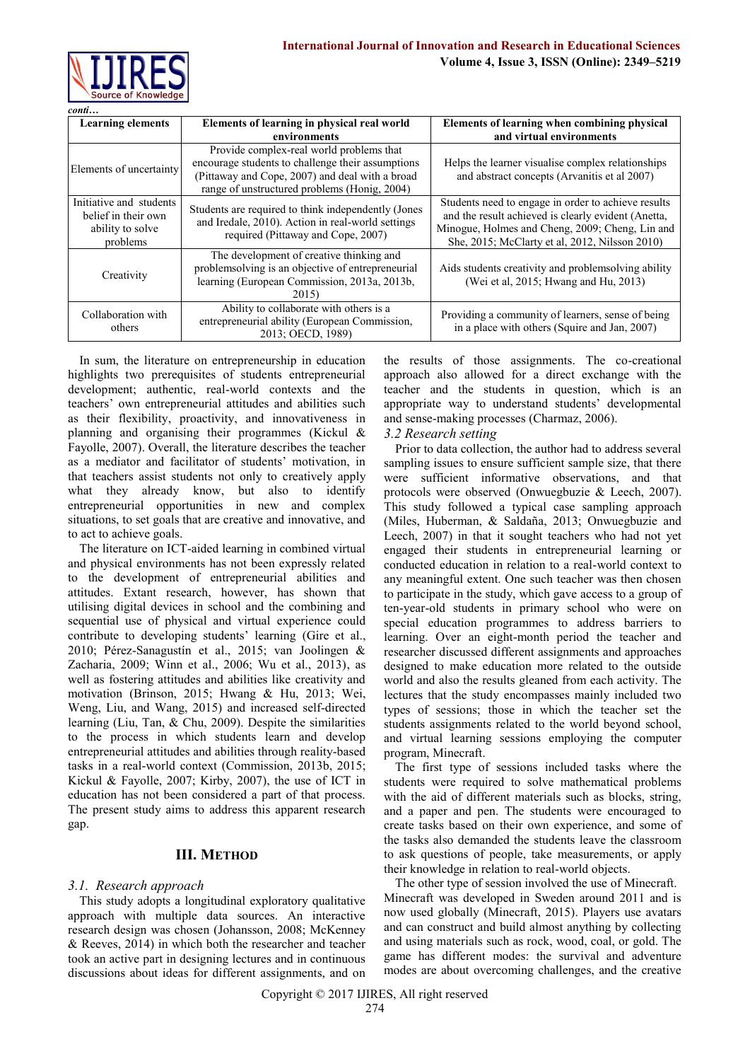| $\textit{conti}$                                                               |                                                                                                                                                                                                  |                                                                                                                                                                                                                 |
|--------------------------------------------------------------------------------|--------------------------------------------------------------------------------------------------------------------------------------------------------------------------------------------------|-----------------------------------------------------------------------------------------------------------------------------------------------------------------------------------------------------------------|
| <b>Learning elements</b>                                                       | Elements of learning in physical real world<br>environments                                                                                                                                      | Elements of learning when combining physical<br>and virtual environments                                                                                                                                        |
| Elements of uncertainty                                                        | Provide complex-real world problems that<br>encourage students to challenge their assumptions<br>(Pittaway and Cope, 2007) and deal with a broad<br>range of unstructured problems (Honig, 2004) | Helps the learner visualise complex relationships<br>and abstract concepts (Arvanitis et al 2007)                                                                                                               |
| Initiative and students<br>belief in their own<br>ability to solve<br>problems | Students are required to think independently (Jones<br>and Iredale, 2010). Action in real-world settings<br>required (Pittaway and Cope, 2007)                                                   | Students need to engage in order to achieve results<br>and the result achieved is clearly evident (Anetta,<br>Minogue, Holmes and Cheng, 2009; Cheng, Lin and<br>She, 2015; McClarty et al, 2012, Nilsson 2010) |
| Creativity                                                                     | The development of creative thinking and<br>problemsolving is an objective of entrepreneurial<br>learning (European Commission, 2013a, 2013b,<br>2015)                                           | Aids students creativity and problems olying ability<br>(Wei et al, 2015; Hwang and Hu, 2013)                                                                                                                   |
| Collaboration with<br>others                                                   | Ability to collaborate with others is a<br>entrepreneurial ability (European Commission,<br>2013: OECD, 1989)                                                                                    | Providing a community of learners, sense of being<br>in a place with others (Squire and Jan, 2007)                                                                                                              |

In sum, the literature on entrepreneurship in education highlights two prerequisites of students entrepreneurial development; authentic, real-world contexts and the teachers' own entrepreneurial attitudes and abilities such as their flexibility, proactivity, and innovativeness in planning and organising their programmes (Kickul & Fayolle, 2007). Overall, the literature describes the teacher as a mediator and facilitator of students' motivation, in that teachers assist students not only to creatively apply what they already know, but also to identify entrepreneurial opportunities in new and complex situations, to set goals that are creative and innovative, and to act to achieve goals.

The literature on ICT-aided learning in combined virtual and physical environments has not been expressly related to the development of entrepreneurial abilities and attitudes. Extant research, however, has shown that utilising digital devices in school and the combining and sequential use of physical and virtual experience could contribute to developing students' learning (Gire et al., 2010; Pérez-Sanagustín et al., 2015; van Joolingen & Zacharia, 2009; Winn et al., 2006; Wu et al., 2013), as well as fostering attitudes and abilities like creativity and motivation (Brinson, 2015; Hwang & Hu, 2013; Wei, Weng, Liu, and Wang, 2015) and increased self-directed learning (Liu, Tan, & Chu, 2009). Despite the similarities to the process in which students learn and develop entrepreneurial attitudes and abilities through reality-based tasks in a real-world context (Commission, 2013b, 2015; Kickul & Fayolle, 2007; Kirby, 2007), the use of ICT in education has not been considered a part of that process. The present study aims to address this apparent research gap.

# **III. METHOD**

# *3.1. Research approach*

This study adopts a longitudinal exploratory qualitative approach with multiple data sources. An interactive research design was chosen (Johansson, 2008; McKenney & Reeves, 2014) in which both the researcher and teacher took an active part in designing lectures and in continuous discussions about ideas for different assignments, and on

the results of those assignments. The co-creational approach also allowed for a direct exchange with the teacher and the students in question, which is an appropriate way to understand students' developmental and sense-making processes (Charmaz, 2006).

#### *3.2 Research setting*

Prior to data collection, the author had to address several sampling issues to ensure sufficient sample size, that there were sufficient informative observations, and that protocols were observed (Onwuegbuzie & Leech, 2007). This study followed a typical case sampling approach (Miles, Huberman, & Saldaña, 2013; Onwuegbuzie and Leech, 2007) in that it sought teachers who had not yet engaged their students in entrepreneurial learning or conducted education in relation to a real-world context to any meaningful extent. One such teacher was then chosen to participate in the study, which gave access to a group of ten-year-old students in primary school who were on special education programmes to address barriers to learning. Over an eight-month period the teacher and researcher discussed different assignments and approaches designed to make education more related to the outside world and also the results gleaned from each activity. The lectures that the study encompasses mainly included two types of sessions; those in which the teacher set the students assignments related to the world beyond school, and virtual learning sessions employing the computer program, Minecraft.

The first type of sessions included tasks where the students were required to solve mathematical problems with the aid of different materials such as blocks, string, and a paper and pen. The students were encouraged to create tasks based on their own experience, and some of the tasks also demanded the students leave the classroom to ask questions of people, take measurements, or apply their knowledge in relation to real-world objects.

The other type of session involved the use of Minecraft. Minecraft was developed in Sweden around 2011 and is now used globally (Minecraft, 2015). Players use avatars and can construct and build almost anything by collecting and using materials such as rock, wood, coal, or gold. The game has different modes: the survival and adventure modes are about overcoming challenges, and the creative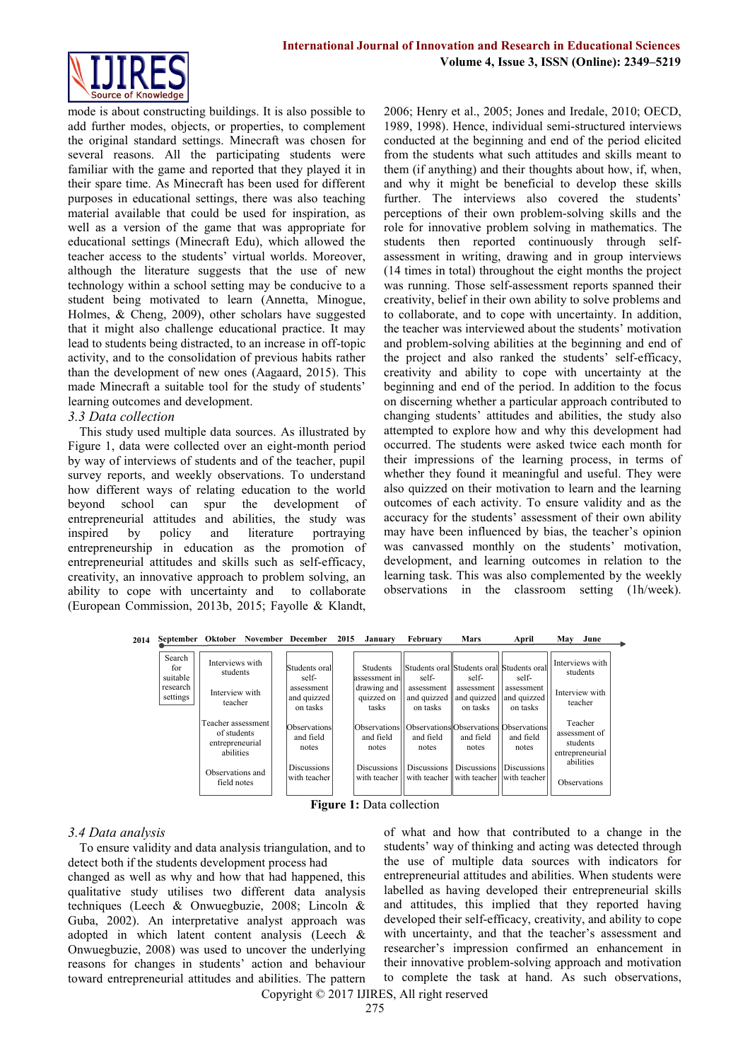

mode is about constructing buildings. It is also possible to add further modes, objects, or properties, to complement the original standard settings. Minecraft was chosen for several reasons. All the participating students were familiar with the game and reported that they played it in their spare time. As Minecraft has been used for different purposes in educational settings, there was also teaching material available that could be used for inspiration, as well as a version of the game that was appropriate for educational settings (Minecraft Edu), which allowed the teacher access to the students' virtual worlds. Moreover, although the literature suggests that the use of new technology within a school setting may be conducive to a student being motivated to learn (Annetta, Minogue, Holmes, & Cheng, 2009), other scholars have suggested that it might also challenge educational practice. It may lead to students being distracted, to an increase in off-topic activity, and to the consolidation of previous habits rather than the development of new ones (Aagaard, 2015). This made Minecraft a suitable tool for the study of students' learning outcomes and development.

#### *3.3 Data collection*

This study used multiple data sources. As illustrated by Figure 1, data were collected over an eight-month period by way of interviews of students and of the teacher, pupil survey reports, and weekly observations. To understand how different ways of relating education to the world beyond school can spur the development of entrepreneurial attitudes and abilities, the study was inspired by policy and literature portraying entrepreneurship in education as the promotion of entrepreneurial attitudes and skills such as self-efficacy, creativity, an innovative approach to problem solving, an ability to cope with uncertainty and to collaborate (European Commission, 2013b, 2015; Fayolle & Klandt,

2006; Henry et al., 2005; Jones and Iredale, 2010; OECD, 1989, 1998). Hence, individual semi-structured interviews conducted at the beginning and end of the period elicited from the students what such attitudes and skills meant to them (if anything) and their thoughts about how, if, when, and why it might be beneficial to develop these skills further. The interviews also covered the students' perceptions of their own problem-solving skills and the role for innovative problem solving in mathematics. The students then reported continuously through selfassessment in writing, drawing and in group interviews (14 times in total) throughout the eight months the project was running. Those self-assessment reports spanned their creativity, belief in their own ability to solve problems and to collaborate, and to cope with uncertainty. In addition, the teacher was interviewed about the students' motivation and problem-solving abilities at the beginning and end of the project and also ranked the students' self-efficacy, creativity and ability to cope with uncertainty at the beginning and end of the period. In addition to the focus on discerning whether a particular approach contributed to changing students' attitudes and abilities, the study also attempted to explore how and why this development had occurred. The students were asked twice each month for their impressions of the learning process, in terms of whether they found it meaningful and useful. They were also quizzed on their motivation to learn and the learning outcomes of each activity. To ensure validity and as the accuracy for the students' assessment of their own ability may have been influenced by bias, the teacher's opinion was canvassed monthly on the students' motivation, development, and learning outcomes in relation to the learning task. This was also complemented by the weekly observations in the classroom setting (1h/week).

**2014 September Oktober November December January February Mars April 2015 May June**

| Search<br>for<br>suitable | Interviews with<br>students                                       | Students oral<br>self-                | <b>Students</b><br>assessment in                  | self-                                 | Students oral Students oral Students oral<br>self- | self-                                                        | Interviews with<br>students                             |
|---------------------------|-------------------------------------------------------------------|---------------------------------------|---------------------------------------------------|---------------------------------------|----------------------------------------------------|--------------------------------------------------------------|---------------------------------------------------------|
| research<br>settings      | Interview with<br>teacher                                         | assessment<br>and quizzed<br>on tasks | drawing and<br>quizzed on<br>tasks                | assessment<br>and quizzed<br>on tasks | assessment<br>and quizzed<br>on tasks              | assessment<br>and quizzed<br>on tasks                        | Interview with<br>teacher                               |
|                           | Teacher assessment<br>of students<br>entrepreneurial<br>abilities | Observations<br>and field<br>notes    | Observations <sup>[1]</sup><br>and field<br>notes | and field<br>notes                    | and field<br>notes                                 | Observations Observations Observations<br>and field<br>notes | Teacher<br>assessment of<br>students<br>entrepreneurial |
|                           | Observations and<br>field notes                                   | <b>Discussions</b><br>with teacher    | <b>Discussions</b><br>with teacher                | Discussions                           | <b>Discussions</b><br>with teacher with teacher    | Discussions<br>with teacher                                  | abilities<br><b>Observations</b>                        |

**Figure 1:** Data collection

# *3.4 Data analysis*

To ensure validity and data analysis triangulation, and to detect both if the students development process had

changed as well as why and how that had happened, this qualitative study utilises two different data analysis techniques (Leech & Onwuegbuzie, 2008; Lincoln & Guba, 2002). An interpretative analyst approach was adopted in which latent content analysis (Leech & Onwuegbuzie, 2008) was used to uncover the underlying reasons for changes in students' action and behaviour toward entrepreneurial attitudes and abilities. The pattern of what and how that contributed to a change in the students' way of thinking and acting was detected through the use of multiple data sources with indicators for entrepreneurial attitudes and abilities. When students were labelled as having developed their entrepreneurial skills and attitudes, this implied that they reported having developed their self-efficacy, creativity, and ability to cope with uncertainty, and that the teacher's assessment and researcher's impression confirmed an enhancement in their innovative problem-solving approach and motivation to complete the task at hand. As such observations,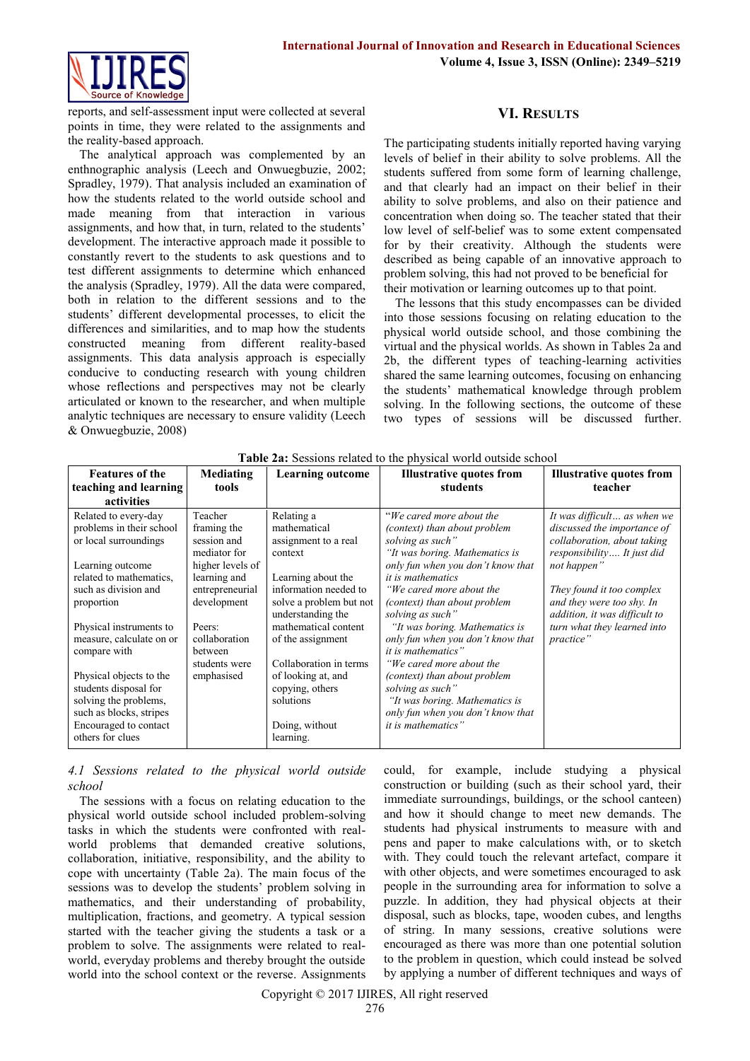

reports, and self-assessment input were collected at several points in time, they were related to the assignments and the reality-based approach.

The analytical approach was complemented by an enthnographic analysis (Leech and Onwuegbuzie, 2002; Spradley, 1979). That analysis included an examination of how the students related to the world outside school and made meaning from that interaction in various assignments, and how that, in turn, related to the students' development. The interactive approach made it possible to constantly revert to the students to ask questions and to test different assignments to determine which enhanced the analysis (Spradley, 1979). All the data were compared, both in relation to the different sessions and to the students' different developmental processes, to elicit the differences and similarities, and to map how the students constructed meaning from different reality-based assignments. This data analysis approach is especially conducive to conducting research with young children whose reflections and perspectives may not be clearly articulated or known to the researcher, and when multiple analytic techniques are necessary to ensure validity (Leech & Onwuegbuzie, 2008)

# **VI. RESULTS**

The participating students initially reported having varying levels of belief in their ability to solve problems. All the students suffered from some form of learning challenge, and that clearly had an impact on their belief in their ability to solve problems, and also on their patience and concentration when doing so. The teacher stated that their low level of self-belief was to some extent compensated for by their creativity. Although the students were described as being capable of an innovative approach to problem solving, this had not proved to be beneficial for their motivation or learning outcomes up to that point.

The lessons that this study encompasses can be divided into those sessions focusing on relating education to the physical world outside school, and those combining the virtual and the physical worlds. As shown in Tables 2a and 2b, the different types of teaching-learning activities shared the same learning outcomes, focusing on enhancing the students' mathematical knowledge through problem solving. In the following sections, the outcome of these two types of sessions will be discussed further.

| <b>Features of the</b>   | Mediating        | <b>Learning outcome</b>                      | <b>Illustrative quotes from</b>                  | <b>Illustrative quotes from</b>                            |
|--------------------------|------------------|----------------------------------------------|--------------------------------------------------|------------------------------------------------------------|
| teaching and learning    | tools            |                                              | students                                         | teacher                                                    |
| activities               |                  |                                              |                                                  |                                                            |
| Related to every-day     | Teacher          | Relating a                                   | "We cared more about the                         | It was difficult as when we                                |
| problems in their school | framing the      | mathematical                                 | (context) than about problem                     | discussed the importance of                                |
| or local surroundings    | session and      | assignment to a real                         | solving as such"                                 | collaboration, about taking                                |
|                          | mediator for     | context                                      | "It was boring. Mathematics is                   | responsibility It just did                                 |
| Learning outcome         | higher levels of |                                              | only fun when you don't know that                | not happen"                                                |
| related to mathematics,  | learning and     | Learning about the                           | <i>it is mathematics</i>                         |                                                            |
| such as division and     | entrepreneurial  | information needed to                        | "We cared more about the                         | They found it too complex                                  |
| proportion               | development      | solve a problem but not<br>understanding the | (context) than about problem<br>solving as such" | and they were too shy. In<br>addition, it was difficult to |
| Physical instruments to  | Peers:           | mathematical content                         | "It was boring. Mathematics is                   | turn what they learned into                                |
| measure, calculate on or | collaboration    | of the assignment                            | only fun when you don't know that                | practice"                                                  |
| compare with             | between          |                                              | <i>it is mathematics</i> "                       |                                                            |
|                          | students were    | Collaboration in terms                       | "We cared more about the                         |                                                            |
| Physical objects to the  | emphasised       | of looking at, and                           | (context) than about problem                     |                                                            |
| students disposal for    |                  | copying, others                              | solving as such"                                 |                                                            |
| solving the problems,    |                  | solutions                                    | "It was boring. Mathematics is                   |                                                            |
| such as blocks, stripes  |                  |                                              | only fun when you don't know that                |                                                            |
| Encouraged to contact    |                  | Doing, without                               | <i>it is mathematics</i> "                       |                                                            |
| others for clues         |                  | learning.                                    |                                                  |                                                            |

**Table 2a:** Sessions related to the physical world outside school

#### *4.1 Sessions related to the physical world outside school*

The sessions with a focus on relating education to the physical world outside school included problem-solving tasks in which the students were confronted with realworld problems that demanded creative solutions, collaboration, initiative, responsibility, and the ability to cope with uncertainty (Table 2a). The main focus of the sessions was to develop the students' problem solving in mathematics, and their understanding of probability, multiplication, fractions, and geometry. A typical session started with the teacher giving the students a task or a problem to solve. The assignments were related to realworld, everyday problems and thereby brought the outside world into the school context or the reverse. Assignments

could, for example, include studying a physical construction or building (such as their school yard, their immediate surroundings, buildings, or the school canteen) and how it should change to meet new demands. The students had physical instruments to measure with and pens and paper to make calculations with, or to sketch with. They could touch the relevant artefact, compare it with other objects, and were sometimes encouraged to ask people in the surrounding area for information to solve a puzzle. In addition, they had physical objects at their disposal, such as blocks, tape, wooden cubes, and lengths of string. In many sessions, creative solutions were encouraged as there was more than one potential solution to the problem in question, which could instead be solved by applying a number of different techniques and ways of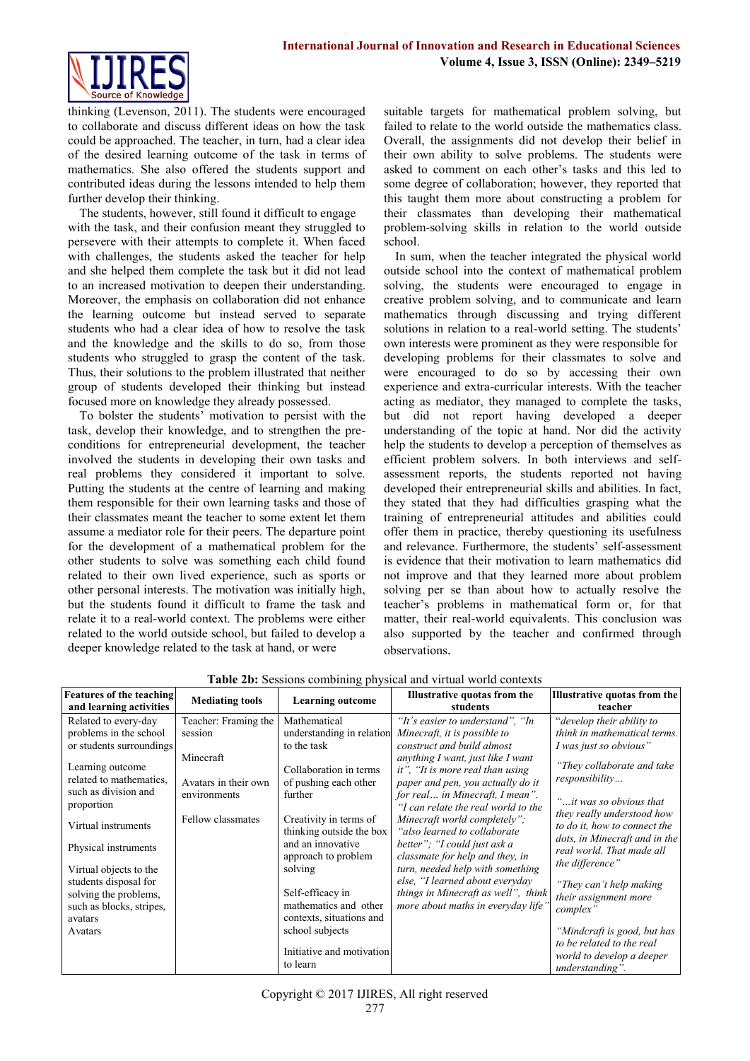

thinking (Levenson, 2011). The students were encouraged to collaborate and discuss different ideas on how the task could be approached. The teacher, in turn, had a clear idea of the desired learning outcome of the task in terms of mathematics. She also offered the students support and contributed ideas during the lessons intended to help them further develop their thinking.

The students, however, still found it difficult to engage with the task, and their confusion meant they struggled to persevere with their attempts to complete it. When faced with challenges, the students asked the teacher for help and she helped them complete the task but it did not lead to an increased motivation to deepen their understanding. Moreover, the emphasis on collaboration did not enhance the learning outcome but instead served to separate students who had a clear idea of how to resolve the task and the knowledge and the skills to do so, from those students who struggled to grasp the content of the task. Thus, their solutions to the problem illustrated that neither group of students developed their thinking but instead focused more on knowledge they already possessed.

To bolster the students' motivation to persist with the task, develop their knowledge, and to strengthen the preconditions for entrepreneurial development, the teacher involved the students in developing their own tasks and real problems they considered it important to solve. Putting the students at the centre of learning and making them responsible for their own learning tasks and those of their classmates meant the teacher to some extent let them assume a mediator role for their peers. The departure point for the development of a mathematical problem for the other students to solve was something each child found related to their own lived experience, such as sports or other personal interests. The motivation was initially high, but the students found it difficult to frame the task and relate it to a real-world context. The problems were either related to the world outside school, but failed to develop a deeper knowledge related to the task at hand, or were

suitable targets for mathematical problem solving, but failed to relate to the world outside the mathematics class. Overall, the assignments did not develop their belief in their own ability to solve problems. The students were asked to comment on each other's tasks and this led to some degree of collaboration; however, they reported that this taught them more about constructing a problem for their classmates than developing their mathematical problem-solving skills in relation to the world outside school.

In sum, when the teacher integrated the physical world outside school into the context of mathematical problem solving, the students were encouraged to engage in creative problem solving, and to communicate and learn mathematics through discussing and trying different solutions in relation to a real-world setting. The students' own interests were prominent as they were responsible for developing problems for their classmates to solve and were encouraged to do so by accessing their own experience and extra-curricular interests. With the teacher acting as mediator, they managed to complete the tasks, but did not report having developed a deeper understanding of the topic at hand. Nor did the activity help the students to develop a perception of themselves as efficient problem solvers. In both interviews and selfassessment reports, the students reported not having developed their entrepreneurial skills and abilities. In fact, they stated that they had difficulties grasping what the training of entrepreneurial attitudes and abilities could offer them in practice, thereby questioning its usefulness and relevance. Furthermore, the students' self-assessment is evidence that their motivation to learn mathematics did not improve and that they learned more about problem solving per se than about how to actually resolve the teacher's problems in mathematical form or, for that matter, their real-world equivalents. This conclusion was also supported by the teacher and confirmed through observations.

| <b>Features of the teaching</b><br>and learning activities                                                                                                                                                                                                                                                                                   | <b>Mediating tools</b>                                                                                    | <b>Learning outcome</b>                                                                                                                                                                                                                                                                                                         | Illustrative quotas from the<br>students                                                                                                                                                                                                                                                                                                                                                                                                                                                                                                                                       | <b>Illustrative quotas from the</b><br>teacher                                                                                                                                                                                                                                                                                                                                                               |
|----------------------------------------------------------------------------------------------------------------------------------------------------------------------------------------------------------------------------------------------------------------------------------------------------------------------------------------------|-----------------------------------------------------------------------------------------------------------|---------------------------------------------------------------------------------------------------------------------------------------------------------------------------------------------------------------------------------------------------------------------------------------------------------------------------------|--------------------------------------------------------------------------------------------------------------------------------------------------------------------------------------------------------------------------------------------------------------------------------------------------------------------------------------------------------------------------------------------------------------------------------------------------------------------------------------------------------------------------------------------------------------------------------|--------------------------------------------------------------------------------------------------------------------------------------------------------------------------------------------------------------------------------------------------------------------------------------------------------------------------------------------------------------------------------------------------------------|
| Related to every-day<br>problems in the school<br>or students surroundings<br>Learning outcome<br>related to mathematics.<br>such as division and<br>proportion<br>Virtual instruments<br>Physical instruments<br>Virtual objects to the<br>students disposal for<br>solving the problems,<br>such as blocks, stripes,<br>avatars<br>Avatars | Teacher: Framing the<br>session<br>Minecraft<br>Avatars in their own<br>environments<br>Fellow classmates | Mathematical<br>understanding in relation<br>to the task<br>Collaboration in terms<br>of pushing each other<br>further<br>Creativity in terms of<br>thinking outside the box<br>and an innovative<br>approach to problem<br>solving<br>Self-efficacy in<br>mathematics and other<br>contexts, situations and<br>school subjects | "It's easier to understand", "In<br>Minecraft, it is possible to<br>construct and build almost<br>anything I want, just like I want<br>it", "It is more real than using<br>paper and pen, you actually do it<br>for real in Minecraft, I mean".<br>"I can relate the real world to the<br>Minecraft world completely";<br>"also learned to collaborate"<br>better"; "I could just ask a<br>classmate for help and they, in<br>turn, needed help with something<br>else, "I learned about everyday<br>things in Minecraft as well", think<br>more about maths in everyday life' | "develop their ability to<br>think in mathematical terms.<br>I was just so obvious"<br>"They collaborate and take<br>responsibility<br>"it was so obvious that<br>they really understood how<br>to do it, how to connect the<br>dots, in Minecraft and in the<br>real world. That made all<br>the difference"<br>"They can't help making<br>their assignment more<br>complex"<br>"Mindcraft is good, but has |
|                                                                                                                                                                                                                                                                                                                                              |                                                                                                           | Initiative and motivation<br>to learn                                                                                                                                                                                                                                                                                           |                                                                                                                                                                                                                                                                                                                                                                                                                                                                                                                                                                                | to be related to the real<br>world to develop a deeper<br>understanding".                                                                                                                                                                                                                                                                                                                                    |

**Table 2b:** Sessions combining physical and virtual world contexts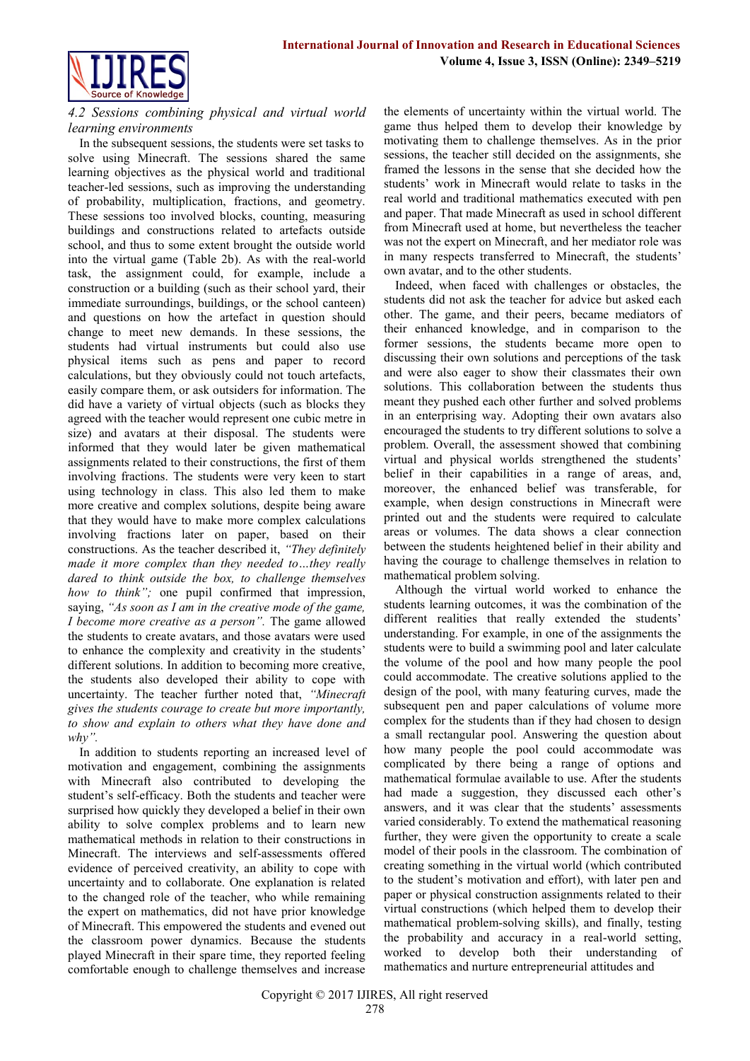

#### *4.2 Sessions combining physical and virtual world learning environments*

In the subsequent sessions, the students were set tasks to solve using Minecraft. The sessions shared the same learning objectives as the physical world and traditional teacher-led sessions, such as improving the understanding of probability, multiplication, fractions, and geometry. These sessions too involved blocks, counting, measuring buildings and constructions related to artefacts outside school, and thus to some extent brought the outside world into the virtual game (Table 2b). As with the real-world task, the assignment could, for example, include a construction or a building (such as their school yard, their immediate surroundings, buildings, or the school canteen) and questions on how the artefact in question should change to meet new demands. In these sessions, the students had virtual instruments but could also use physical items such as pens and paper to record calculations, but they obviously could not touch artefacts, easily compare them, or ask outsiders for information. The did have a variety of virtual objects (such as blocks they agreed with the teacher would represent one cubic metre in size) and avatars at their disposal. The students were informed that they would later be given mathematical assignments related to their constructions, the first of them involving fractions. The students were very keen to start using technology in class. This also led them to make more creative and complex solutions, despite being aware that they would have to make more complex calculations involving fractions later on paper, based on their constructions. As the teacher described it, *"They definitely made it more complex than they needed to…they really dared to think outside the box, to challenge themselves how to think";* one pupil confirmed that impression, saying, *"As soon as I am in the creative mode of the game, I become more creative as a person".* The game allowed the students to create avatars, and those avatars were used to enhance the complexity and creativity in the students' different solutions. In addition to becoming more creative, the students also developed their ability to cope with uncertainty. The teacher further noted that, *"Minecraft gives the students courage to create but more importantly, to show and explain to others what they have done and why".*

In addition to students reporting an increased level of motivation and engagement, combining the assignments with Minecraft also contributed to developing the student's self-efficacy. Both the students and teacher were surprised how quickly they developed a belief in their own ability to solve complex problems and to learn new mathematical methods in relation to their constructions in Minecraft. The interviews and self-assessments offered evidence of perceived creativity, an ability to cope with uncertainty and to collaborate. One explanation is related to the changed role of the teacher, who while remaining the expert on mathematics, did not have prior knowledge of Minecraft. This empowered the students and evened out the classroom power dynamics. Because the students played Minecraft in their spare time, they reported feeling comfortable enough to challenge themselves and increase

the elements of uncertainty within the virtual world. The game thus helped them to develop their knowledge by motivating them to challenge themselves. As in the prior sessions, the teacher still decided on the assignments, she framed the lessons in the sense that she decided how the students' work in Minecraft would relate to tasks in the real world and traditional mathematics executed with pen and paper. That made Minecraft as used in school different from Minecraft used at home, but nevertheless the teacher was not the expert on Minecraft, and her mediator role was in many respects transferred to Minecraft, the students' own avatar, and to the other students.

Indeed, when faced with challenges or obstacles, the students did not ask the teacher for advice but asked each other. The game, and their peers, became mediators of their enhanced knowledge, and in comparison to the former sessions, the students became more open to discussing their own solutions and perceptions of the task and were also eager to show their classmates their own solutions. This collaboration between the students thus meant they pushed each other further and solved problems in an enterprising way. Adopting their own avatars also encouraged the students to try different solutions to solve a problem. Overall, the assessment showed that combining virtual and physical worlds strengthened the students' belief in their capabilities in a range of areas, and, moreover, the enhanced belief was transferable, for example, when design constructions in Minecraft were printed out and the students were required to calculate areas or volumes. The data shows a clear connection between the students heightened belief in their ability and having the courage to challenge themselves in relation to mathematical problem solving.

Although the virtual world worked to enhance the students learning outcomes, it was the combination of the different realities that really extended the students' understanding. For example, in one of the assignments the students were to build a swimming pool and later calculate the volume of the pool and how many people the pool could accommodate. The creative solutions applied to the design of the pool, with many featuring curves, made the subsequent pen and paper calculations of volume more complex for the students than if they had chosen to design a small rectangular pool. Answering the question about how many people the pool could accommodate was complicated by there being a range of options and mathematical formulae available to use. After the students had made a suggestion, they discussed each other's answers, and it was clear that the students' assessments varied considerably. To extend the mathematical reasoning further, they were given the opportunity to create a scale model of their pools in the classroom. The combination of creating something in the virtual world (which contributed to the student's motivation and effort), with later pen and paper or physical construction assignments related to their virtual constructions (which helped them to develop their mathematical problem-solving skills), and finally, testing the probability and accuracy in a real-world setting, worked to develop both their understanding of mathematics and nurture entrepreneurial attitudes and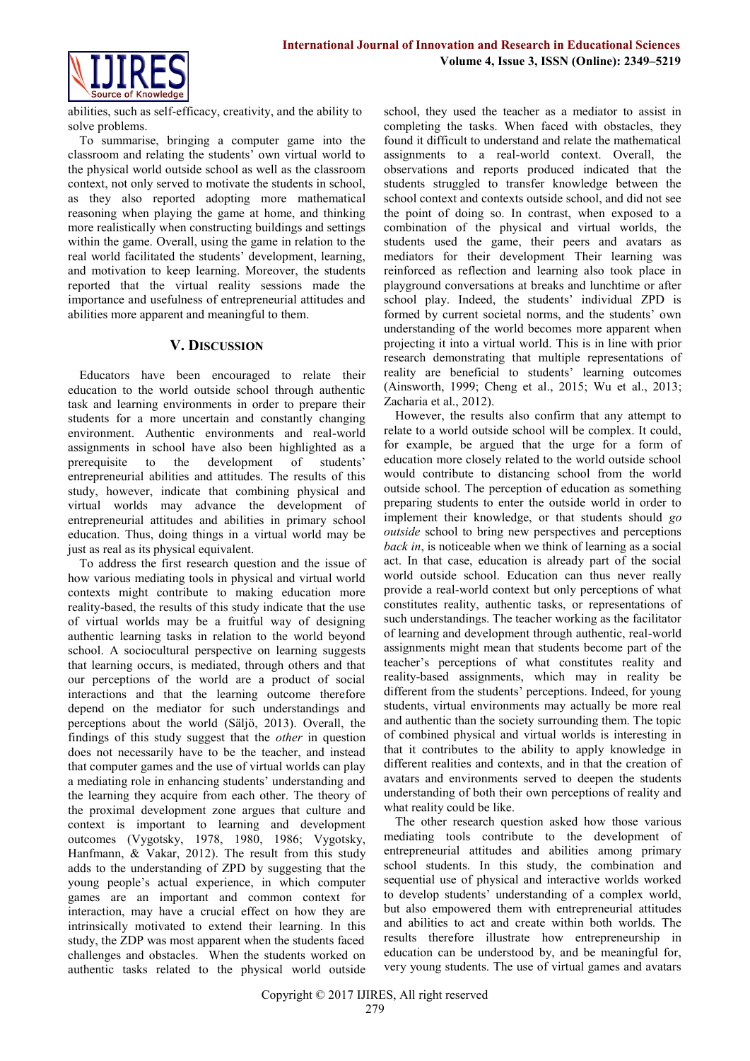

abilities, such as self-efficacy, creativity, and the ability to solve problems.

To summarise, bringing a computer game into the classroom and relating the students' own virtual world to the physical world outside school as well as the classroom context, not only served to motivate the students in school, as they also reported adopting more mathematical reasoning when playing the game at home, and thinking more realistically when constructing buildings and settings within the game. Overall, using the game in relation to the real world facilitated the students' development, learning, and motivation to keep learning. Moreover, the students reported that the virtual reality sessions made the importance and usefulness of entrepreneurial attitudes and abilities more apparent and meaningful to them.

# **V. DISCUSSION**

Educators have been encouraged to relate their education to the world outside school through authentic task and learning environments in order to prepare their students for a more uncertain and constantly changing environment. Authentic environments and real-world assignments in school have also been highlighted as a prerequisite to the development of students' entrepreneurial abilities and attitudes. The results of this study, however, indicate that combining physical and virtual worlds may advance the development of entrepreneurial attitudes and abilities in primary school education. Thus, doing things in a virtual world may be just as real as its physical equivalent.

To address the first research question and the issue of how various mediating tools in physical and virtual world contexts might contribute to making education more reality-based, the results of this study indicate that the use of virtual worlds may be a fruitful way of designing authentic learning tasks in relation to the world beyond school. A sociocultural perspective on learning suggests that learning occurs, is mediated, through others and that our perceptions of the world are a product of social interactions and that the learning outcome therefore depend on the mediator for such understandings and perceptions about the world (Säljö, 2013). Overall, the findings of this study suggest that the *other* in question does not necessarily have to be the teacher, and instead that computer games and the use of virtual worlds can play a mediating role in enhancing students' understanding and the learning they acquire from each other. The theory of the proximal development zone argues that culture and context is important to learning and development outcomes (Vygotsky, 1978, 1980, 1986; Vygotsky, Hanfmann, & Vakar, 2012). The result from this study adds to the understanding of ZPD by suggesting that the young people's actual experience, in which computer games are an important and common context for interaction, may have a crucial effect on how they are intrinsically motivated to extend their learning. In this study, the ZDP was most apparent when the students faced challenges and obstacles. When the students worked on authentic tasks related to the physical world outside

school, they used the teacher as a mediator to assist in completing the tasks. When faced with obstacles, they found it difficult to understand and relate the mathematical assignments to a real-world context. Overall, the observations and reports produced indicated that the students struggled to transfer knowledge between the school context and contexts outside school, and did not see the point of doing so. In contrast, when exposed to a combination of the physical and virtual worlds, the students used the game, their peers and avatars as mediators for their development Their learning was reinforced as reflection and learning also took place in playground conversations at breaks and lunchtime or after school play. Indeed, the students' individual ZPD is formed by current societal norms, and the students' own understanding of the world becomes more apparent when projecting it into a virtual world. This is in line with prior research demonstrating that multiple representations of reality are beneficial to students' learning outcomes (Ainsworth, 1999; Cheng et al., 2015; Wu et al., 2013; Zacharia et al., 2012).

However, the results also confirm that any attempt to relate to a world outside school will be complex. It could, for example, be argued that the urge for a form of education more closely related to the world outside school would contribute to distancing school from the world outside school. The perception of education as something preparing students to enter the outside world in order to implement their knowledge, or that students should *go outside* school to bring new perspectives and perceptions *back in*, is noticeable when we think of learning as a social act. In that case, education is already part of the social world outside school. Education can thus never really provide a real-world context but only perceptions of what constitutes reality, authentic tasks, or representations of such understandings. The teacher working as the facilitator of learning and development through authentic, real-world assignments might mean that students become part of the teacher's perceptions of what constitutes reality and reality-based assignments, which may in reality be different from the students' perceptions. Indeed, for young students, virtual environments may actually be more real and authentic than the society surrounding them. The topic of combined physical and virtual worlds is interesting in that it contributes to the ability to apply knowledge in different realities and contexts, and in that the creation of avatars and environments served to deepen the students understanding of both their own perceptions of reality and what reality could be like.

The other research question asked how those various mediating tools contribute to the development of entrepreneurial attitudes and abilities among primary school students. In this study, the combination and sequential use of physical and interactive worlds worked to develop students' understanding of a complex world, but also empowered them with entrepreneurial attitudes and abilities to act and create within both worlds. The results therefore illustrate how entrepreneurship in education can be understood by, and be meaningful for, very young students. The use of virtual games and avatars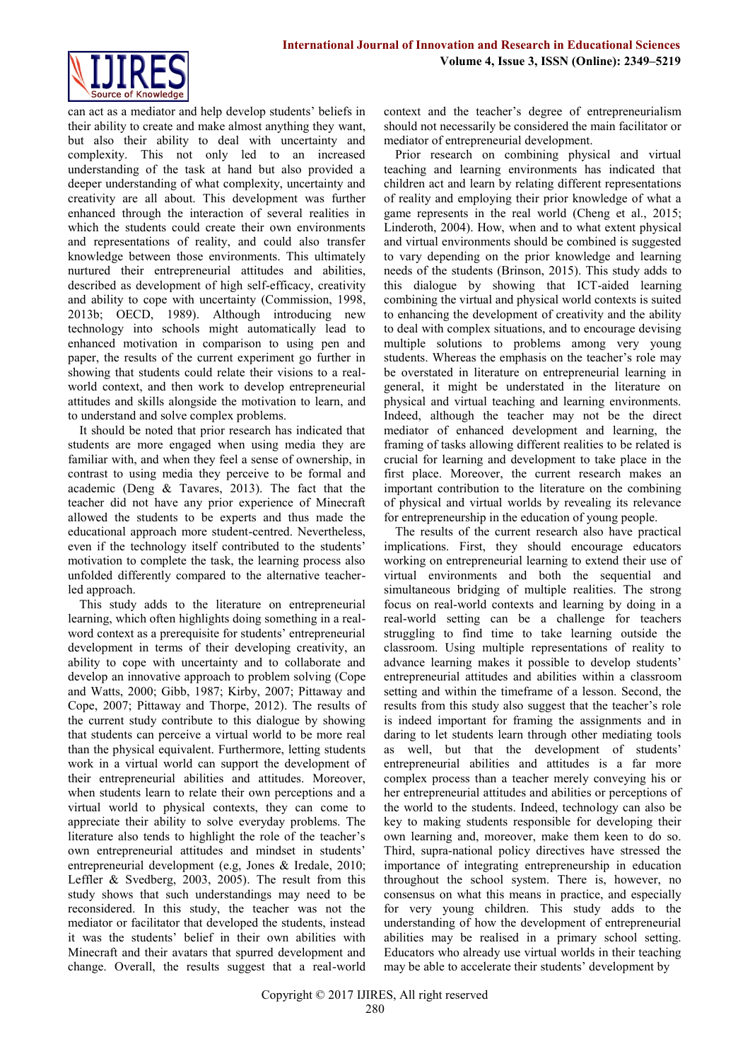

can act as a mediator and help develop students' beliefs in their ability to create and make almost anything they want, but also their ability to deal with uncertainty and complexity. This not only led to an increased understanding of the task at hand but also provided a deeper understanding of what complexity, uncertainty and creativity are all about. This development was further enhanced through the interaction of several realities in which the students could create their own environments and representations of reality, and could also transfer knowledge between those environments. This ultimately nurtured their entrepreneurial attitudes and abilities, described as development of high self-efficacy, creativity and ability to cope with uncertainty (Commission, 1998, 2013b; OECD, 1989). Although introducing new technology into schools might automatically lead to enhanced motivation in comparison to using pen and paper, the results of the current experiment go further in showing that students could relate their visions to a realworld context, and then work to develop entrepreneurial attitudes and skills alongside the motivation to learn, and to understand and solve complex problems.

It should be noted that prior research has indicated that students are more engaged when using media they are familiar with, and when they feel a sense of ownership, in contrast to using media they perceive to be formal and academic (Deng & Tavares, 2013). The fact that the teacher did not have any prior experience of Minecraft allowed the students to be experts and thus made the educational approach more student-centred. Nevertheless, even if the technology itself contributed to the students' motivation to complete the task, the learning process also unfolded differently compared to the alternative teacherled approach.

This study adds to the literature on entrepreneurial learning, which often highlights doing something in a realword context as a prerequisite for students' entrepreneurial development in terms of their developing creativity, an ability to cope with uncertainty and to collaborate and develop an innovative approach to problem solving (Cope and Watts, 2000; Gibb, 1987; Kirby, 2007; Pittaway and Cope, 2007; Pittaway and Thorpe, 2012). The results of the current study contribute to this dialogue by showing that students can perceive a virtual world to be more real than the physical equivalent. Furthermore, letting students work in a virtual world can support the development of their entrepreneurial abilities and attitudes. Moreover, when students learn to relate their own perceptions and a virtual world to physical contexts, they can come to appreciate their ability to solve everyday problems. The literature also tends to highlight the role of the teacher's own entrepreneurial attitudes and mindset in students' entrepreneurial development (e.g, Jones & Iredale, 2010; Leffler & Svedberg, 2003, 2005). The result from this study shows that such understandings may need to be reconsidered. In this study, the teacher was not the mediator or facilitator that developed the students, instead it was the students' belief in their own abilities with Minecraft and their avatars that spurred development and change. Overall, the results suggest that a real-world context and the teacher's degree of entrepreneurialism should not necessarily be considered the main facilitator or mediator of entrepreneurial development.

Prior research on combining physical and virtual teaching and learning environments has indicated that children act and learn by relating different representations of reality and employing their prior knowledge of what a game represents in the real world (Cheng et al., 2015; Linderoth, 2004). How, when and to what extent physical and virtual environments should be combined is suggested to vary depending on the prior knowledge and learning needs of the students (Brinson, 2015). This study adds to this dialogue by showing that ICT-aided learning combining the virtual and physical world contexts is suited to enhancing the development of creativity and the ability to deal with complex situations, and to encourage devising multiple solutions to problems among very young students. Whereas the emphasis on the teacher's role may be overstated in literature on entrepreneurial learning in general, it might be understated in the literature on physical and virtual teaching and learning environments. Indeed, although the teacher may not be the direct mediator of enhanced development and learning, the framing of tasks allowing different realities to be related is crucial for learning and development to take place in the first place. Moreover, the current research makes an important contribution to the literature on the combining of physical and virtual worlds by revealing its relevance for entrepreneurship in the education of young people.

The results of the current research also have practical implications. First, they should encourage educators working on entrepreneurial learning to extend their use of virtual environments and both the sequential and simultaneous bridging of multiple realities. The strong focus on real-world contexts and learning by doing in a real-world setting can be a challenge for teachers struggling to find time to take learning outside the classroom. Using multiple representations of reality to advance learning makes it possible to develop students' entrepreneurial attitudes and abilities within a classroom setting and within the timeframe of a lesson. Second, the results from this study also suggest that the teacher's role is indeed important for framing the assignments and in daring to let students learn through other mediating tools as well, but that the development of students' entrepreneurial abilities and attitudes is a far more complex process than a teacher merely conveying his or her entrepreneurial attitudes and abilities or perceptions of the world to the students. Indeed, technology can also be key to making students responsible for developing their own learning and, moreover, make them keen to do so. Third, supra-national policy directives have stressed the importance of integrating entrepreneurship in education throughout the school system. There is, however, no consensus on what this means in practice, and especially for very young children. This study adds to the understanding of how the development of entrepreneurial abilities may be realised in a primary school setting. Educators who already use virtual worlds in their teaching may be able to accelerate their students' development by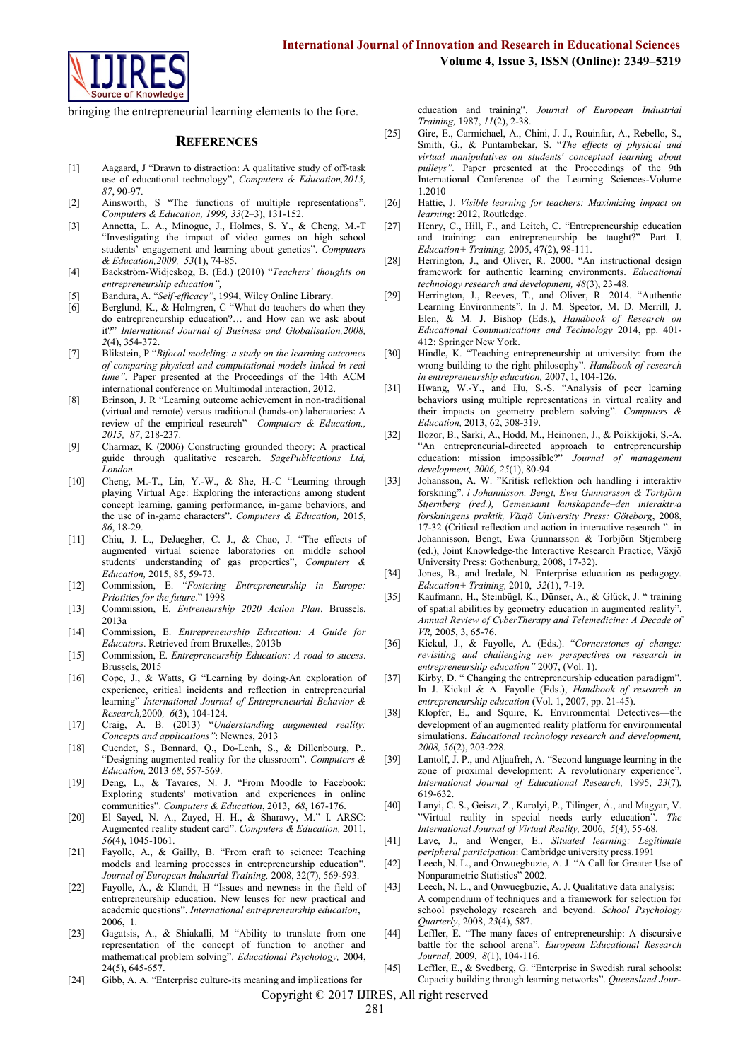

bringing the entrepreneurial learning elements to the fore.

#### **REFERENCES**

- [1] Aagaard, J "Drawn to distraction: A qualitative study of off-task use of educational technology", *Computers & Education,2015, 87*, 90-97.
- [2] Ainsworth, S "The functions of multiple representations". *Computers & Education, 1999, 33*(2–3), 131-152.
- [3] Annetta, L. A., Minogue, J., Holmes, S. Y., & Cheng, M.-T "Investigating the impact of video games on high school students' engagement and learning about genetics". *Computers & Education,2009, 53*(1), 74-85.
- [4] Backström-Widjeskog, B. (Ed.) (2010) "*Teachers' thoughts on entrepreneurship education",*
- Bandura, A. "Self-efficacy", 1994, Wiley Online Library.
- [6] Berglund, K., & Holmgren, C "What do teachers do when they do entrepreneurship education?… and How can we ask about it?" *International Journal of Business and Globalisation,2008, 2*(4), 354-372.
- [7] Blikstein, P "*Bifocal modeling: a study on the learning outcomes of comparing physical and computational models linked in real time".* Paper presented at the Proceedings of the 14th ACM international conference on Multimodal interaction, 2012.
- [8] Brinson, J. R "Learning outcome achievement in non-traditional (virtual and remote) versus traditional (hands-on) laboratories: A review of the empirical research" *Computers & Education,, 2015, 87*, 218-237.
- [9] Charmaz, K (2006) Constructing grounded theory: A practical guide through qualitative research. *SagePublications Ltd, London*.
- [10] Cheng, M.-T., Lin, Y.-W., & She, H.-C "Learning through playing Virtual Age: Exploring the interactions among student concept learning, gaming performance, in-game behaviors, and the use of in-game characters". *Computers & Education,* 2015, *86*, 18-29.
- [11] Chiu, J. L., DeJaegher, C. J., & Chao, J. "The effects of augmented virtual science laboratories on middle school students' understanding of gas properties", *Computers & Education,* 2015, 85, 59-73.
- [12] Commission, E. "*Fostering Entrepreneurship in Europe: Priotities for the future*." 1998
- [13] Commission, E. *Entreneurship 2020 Action Plan*. Brussels. 2013a
- [14] Commission, E. *Entrepreneurship Education: A Guide for Educators*. Retrieved from Bruxelles, 2013b
- [15] Commission, E. *Entrepreneurship Education: A road to sucess*. Brussels, 2015
- [16] Cope, J., & Watts, G "Learning by doing-An exploration of experience, critical incidents and reflection in entrepreneurial learning" *International Journal of Entrepreneurial Behavior & Research,*2000*, 6*(3), 104-124.
- [17] Craig, A. B. (2013) "*Understanding augmented reality: Concepts and applications"*: Newnes, 2013
- [18] Cuendet, S., Bonnard, Q., Do-Lenh, S., & Dillenbourg, P.. "Designing augmented reality for the classroom". *Computers & Education,* 2013 *68*, 557-569.
- [19] Deng, L., & Tavares, N. J. "From Moodle to Facebook: Exploring students' motivation and experiences in online communities". *Computers & Education*, 2013, *68*, 167-176.
- [20] El Sayed, N. A., Zayed, H. H., & Sharawy, M." I. ARSC: Augmented reality student card". *Computers & Education,* 2011, *56*(4), 1045-1061.
- [21] Fayolle, A., & Gailly, B. "From craft to science: Teaching models and learning processes in entrepreneurship education". *Journal of European Industrial Training,* 2008, 32(7), 569-593.
- [22] Fayolle, A., & Klandt, H "Issues and newness in the field of entrepreneurship education. New lenses for new practical and academic questions". *International entrepreneurship education*, 2006, 1.
- [23] Gagatsis, A., & Shiakalli, M "Ability to translate from one representation of the concept of function to another and mathematical problem solving". *Educational Psychology,* 2004, 24(5), 645-657.
- [24] Gibb, A. A. "Enterprise culture-its meaning and implications for

education and training". *Journal of European Industrial Training,* 1987, *11*(2), 2-38.

- [25] Gire, E., Carmichael, A., Chini, J. J., Rouinfar, A., Rebello, S., Smith, G., & Puntambekar, S. "*The effects of physical and virtual manipulatives on students' conceptual learning about pulleys".* Paper presented at the Proceedings of the 9th International Conference of the Learning Sciences-Volume 1.2010
- [26] Hattie, J. *Visible learning for teachers: Maximizing impact on learning*: 2012, Routledge.
- [27] Henry, C., Hill, F., and Leitch, C. "Entrepreneurship education and training: can entrepreneurship be taught?" Part I. *Education+ Training,* 2005, 47(2), 98-111.
- [28] Herrington, J., and Oliver, R. 2000. "An instructional design framework for authentic learning environments. *Educational technology research and development, 48*(3), 23-48.
- [29] Herrington, J., Reeves, T., and Oliver, R. 2014. "Authentic Learning Environments". In J. M. Spector, M. D. Merrill, J. Elen, & M. J. Bishop (Eds.), *Handbook of Research on Educational Communications and Technology* 2014, pp. 401- 412: Springer New York.
- [30] Hindle, K. "Teaching entrepreneurship at university: from the wrong building to the right philosophy". *Handbook of research in entrepreneurship education,* 2007, 1, 104-126.
- [31] Hwang, W.-Y., and Hu, S.-S. "Analysis of peer learning behaviors using multiple representations in virtual reality and their impacts on geometry problem solving". *Computers & Education,* 2013, 62, 308-319.
- [32] Ilozor, B., Sarki, A., Hodd, M., Heinonen, J., & Poikkijoki, S.-A. "An entrepreneurial-directed approach to entrepreneurship education: mission impossible?" *Journal of management development, 2006, 25*(1), 80-94.
- [33] Johansson, A. W. "Kritisk reflektion och handling i interaktiv forskning". *i Johannisson, Bengt, Ewa Gunnarsson & Torbjörn Stjernberg (red.), Gemensamt kunskapande–den interaktiva forskningens praktik, Växjö University Press: Göteborg*, 2008, 17-32 (Critical reflection and action in interactive research ". in Johannisson, Bengt, Ewa Gunnarsson & Torbjörn Stjernberg (ed.), Joint Knowledge-the Interactive Research Practice, Växjö University Press: Gothenburg, 2008, 17-32).
- [34] Jones, B., and Iredale, N. Enterprise education as pedagogy. *Education+ Training,* 2010, *52*(1), 7-19.
- [35] Kaufmann, H., Steinbügl, K., Dünser, A., & Glück, J. " training of spatial abilities by geometry education in augmented reality". *Annual Review of CyberTherapy and Telemedicine: A Decade of VR,* 2005, 3, 65-76.
- [36] Kickul, J., & Fayolle, A. (Eds.). "*Cornerstones of change: revisiting and challenging new perspectives on research in entrepreneurship education"* 2007, (Vol. 1).
- [37] Kirby, D. " Changing the entrepreneurship education paradigm". In J. Kickul & A. Fayolle (Eds.), *Handbook of research in entrepreneurship education* (Vol. 1, 2007, pp. 21-45).
- [38] Klopfer, E., and Squire, K. Environmental Detectives—the development of an augmented reality platform for environmental simulations. *Educational technology research and development, 2008, 56*(2), 203-228.
- [39] Lantolf, J. P., and Aljaafreh, A. "Second language learning in the zone of proximal development: A revolutionary experience". *International Journal of Educational Research,* 1995, *23*(7), 619-632.
- [40] Lanyi, C. S., Geiszt, Z., Karolyi, P., Tilinger, Á., and Magyar, V. "Virtual reality in special needs early education". *The International Journal of Virtual Reality,* 2006, *5*(4), 55-68.
- [41] Lave, J., and Wenger, E.. *Situated learning: Legitimate peripheral participation*: Cambridge university press.1991
- [42] Leech, N. L., and Onwuegbuzie, A. J. "A Call for Greater Use of Nonparametric Statistics" 2002.
- [43] Leech, N. L., and Onwuegbuzie, A. J. Qualitative data analysis: A compendium of techniques and a framework for selection for school psychology research and beyond. *School Psychology Quarterly*, 2008, *23*(4), 587.
- [44] Leffler, E. "The many faces of entrepreneurship: A discursive battle for the school arena". *European Educational Research Journal,* 2009, *8*(1), 104-116.
- [45] Leffler, E., & Svedberg, G. "Enterprise in Swedish rural schools: Capacity building through learning networks". *Queensland Jour-*

Copyright © 2017 IJIRES, All right reserved